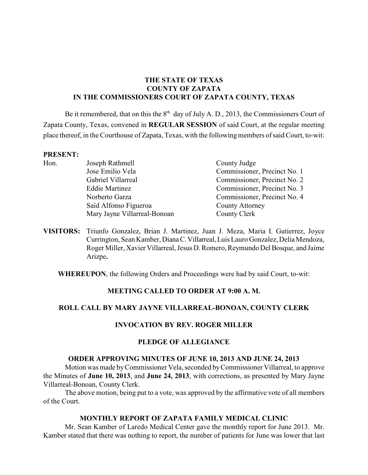# **THE STATE OF TEXAS COUNTY OF ZAPATA IN THE COMMISSIONERS COURT OF ZAPATA COUNTY, TEXAS**

Be it remembered, that on this the  $8<sup>th</sup>$  day of July A. D., 2013, the Commissioners Court of Zapata County, Texas, convened in **REGULAR SESSION** of said Court, at the regular meeting place thereof, in the Courthouse of Zapata, Texas, with the following members of said Court, to-wit:

#### **PRESENT:**

| Hon. | Joseph Rathmell              | County Judge                 |
|------|------------------------------|------------------------------|
|      | Jose Emilio Vela             | Commissioner, Precinct No. 1 |
|      | Gabriel Villarreal           | Commissioner, Precinct No. 2 |
|      | <b>Eddie Martinez</b>        | Commissioner, Precinct No. 3 |
|      | Norberto Garza               | Commissioner, Precinct No. 4 |
|      | Saíd Alfonso Figueroa        | <b>County Attorney</b>       |
|      | Mary Jayne Villarreal-Bonoan | County Clerk                 |
|      |                              |                              |

**VISITORS:** Triunfo Gonzalez, Brian J. Martinez, Juan J. Meza, Maria I. Gutierrez, Joyce Currington, Sean Kamber, Diana C. Villarreal, Luis Lauro Gonzalez, Delia Mendoza, Roger Miller, Xavier Villarreal, Jesus D. Romero, Reymundo Del Bosque, and Jaime Arizpe**.**

**WHEREUPON**, the following Orders and Proceedings were had by said Court, to-wit:

# **MEETING CALLED TO ORDER AT 9:00 A. M.**

# **ROLL CALL BY MARY JAYNE VILLARREAL-BONOAN, COUNTY CLERK**

# **INVOCATION BY REV. ROGER MILLER**

#### **PLEDGE OF ALLEGIANCE**

#### **ORDER APPROVING MINUTES OF JUNE 10, 2013 AND JUNE 24, 2013**

Motion was made by Commissioner Vela, seconded byCommissioner Villarreal, to approve the Minutes of **June 10, 2013**, and **June 24, 2013**, with corrections, as presented by Mary Jayne Villarreal-Bonoan, County Clerk.

The above motion, being put to a vote, was approved by the affirmative vote of all members of the Court.

#### **MONTHLY REPORT OF ZAPATA FAMILY MEDICAL CLINIC**

Mr. Sean Kamber of Laredo Medical Center gave the monthly report for June 2013. Mr. Kamber stated that there was nothing to report, the number of patients for June was lower that last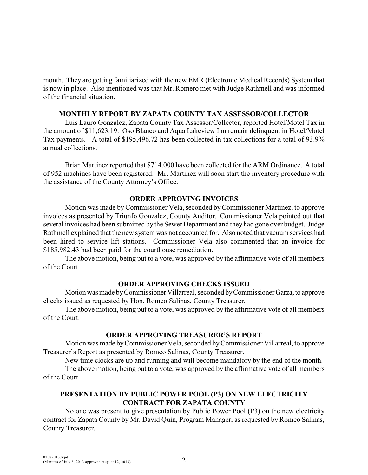month. They are getting familiarized with the new EMR (Electronic Medical Records) System that is now in place. Also mentioned was that Mr. Romero met with Judge Rathmell and was informed of the financial situation.

#### **MONTHLY REPORT BY ZAPATA COUNTY TAX ASSESSOR/COLLECTOR**

Luis Lauro Gonzalez, Zapata County Tax Assessor/Collector, reported Hotel/Motel Tax in the amount of \$11,623.19. Oso Blanco and Aqua Lakeview Inn remain delinquent in Hotel/Motel Tax payments. A total of \$195,496.72 has been collected in tax collections for a total of 93.9% annual collections.

Brian Martinez reported that \$714.000 have been collected for the ARM Ordinance. A total of 952 machines have been registered. Mr. Martinez will soon start the inventory procedure with the assistance of the County Attorney's Office.

#### **ORDER APPROVING INVOICES**

Motion was made byCommissioner Vela, seconded by Commissioner Martinez, to approve invoices as presented by Triunfo Gonzalez, County Auditor. Commissioner Vela pointed out that several invoices had been submitted by the Sewer Department and they had gone over budget. Judge Rathmell explained that the new system was not accounted for. Also noted that vacuum services had been hired to service lift stations. Commissioner Vela also commented that an invoice for \$185,982.43 had been paid for the courthouse remediation.

The above motion, being put to a vote, was approved by the affirmative vote of all members of the Court.

#### **ORDER APPROVING CHECKS ISSUED**

Motion was made by Commissioner Villarreal, seconded by Commissioner Garza, to approve checks issued as requested by Hon. Romeo Salinas, County Treasurer.

The above motion, being put to a vote, was approved by the affirmative vote of all members of the Court.

#### **ORDER APPROVING TREASURER'S REPORT**

Motion was made byCommissioner Vela, seconded by Commissioner Villarreal, to approve Treasurer's Report as presented by Romeo Salinas, County Treasurer.

New time clocks are up and running and will become mandatory by the end of the month.

The above motion, being put to a vote, was approved by the affirmative vote of all members of the Court.

# **PRESENTATION BY PUBLIC POWER POOL (P3) ON NEW ELECTRICITY CONTRACT FOR ZAPATA COUNTY**

No one was present to give presentation by Public Power Pool (P3) on the new electricity contract for Zapata County by Mr. David Quin, Program Manager, as requested by Romeo Salinas, County Treasurer.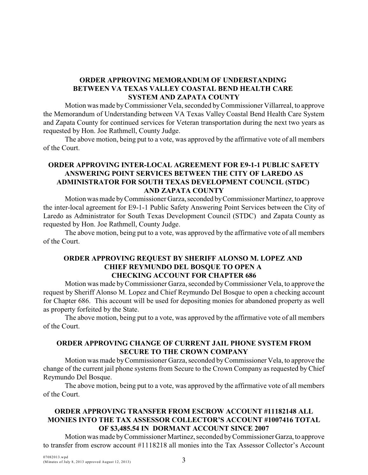# **ORDER APPROVING MEMORANDUM OF UNDERSTANDING BETWEEN VA TEXAS VALLEY COASTAL BEND HEALTH CARE SYSTEM AND ZAPATA COUNTY**

Motion was made byCommissioner Vela, seconded byCommissioner Villarreal, to approve the Memorandum of Understanding between VA Texas Valley Coastal Bend Health Care System and Zapata County for continued services for Veteran transportation during the next two years as requested by Hon. Joe Rathmell, County Judge.

The above motion, being put to a vote, was approved by the affirmative vote of all members of the Court.

# **ORDER APPROVING INTER-LOCAL AGREEMENT FOR E9-1-1 PUBLIC SAFETY ANSWERING POINT SERVICES BETWEEN THE CITY OF LAREDO AS ADMINISTRATOR FOR SOUTH TEXAS DEVELOPMENT COUNCIL (STDC) AND ZAPATA COUNTY**

Motion was made by Commissioner Garza, seconded by Commissioner Martinez, to approve the inter-local agreement for E9-1-1 Public Safety Answering Point Services between the City of Laredo as Administrator for South Texas Development Council (STDC) and Zapata County as requested by Hon. Joe Rathmell, County Judge.

The above motion, being put to a vote, was approved by the affirmative vote of all members of the Court.

### **ORDER APPROVING REQUEST BY SHERIFF ALONSO M. LOPEZ AND CHIEF REYMUNDO DEL BOSQUE TO OPEN A CHECKING ACCOUNT FOR CHAPTER 686**

Motion was made by Commissioner Garza, seconded by Commissioner Vela, to approve the request by Sheriff Alonso M. Lopez and Chief Reymundo Del Bosque to open a checking account for Chapter 686. This account will be used for depositing monies for abandoned property as well as property forfeited by the State.

The above motion, being put to a vote, was approved by the affirmative vote of all members of the Court.

# **ORDER APPROVING CHANGE OF CURRENT JAIL PHONE SYSTEM FROM SECURE TO THE CROWN COMPANY**

Motion was made by Commissioner Garza, seconded by Commissioner Vela, to approve the change of the current jail phone systems from Secure to the Crown Company as requested by Chief Reymundo Del Bosque.

The above motion, being put to a vote, was approved by the affirmative vote of all members of the Court.

# **ORDER APPROVING TRANSFER FROM ESCROW ACCOUNT #11182148 ALL MONIES INTO THE TAX ASSESSOR COLLECTOR'S ACCOUNT #1007416 TOTAL OF \$3,485.54 IN DORMANT ACCOUNT SINCE 2007**

Motion was made by Commissioner Martinez, seconded by Commissioner Garza, to approve to transfer from escrow account #1118218 all monies into the Tax Assessor Collector's Account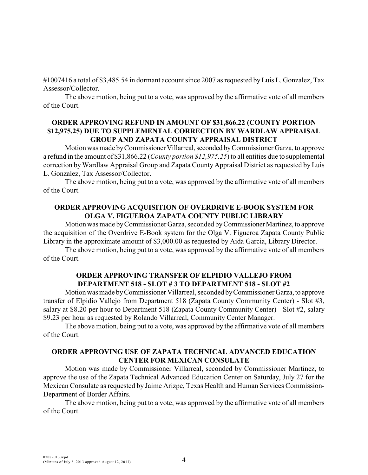#1007416 a total of \$3,485.54 in dormant account since 2007 as requested by Luis L. Gonzalez, Tax Assessor/Collector.

The above motion, being put to a vote, was approved by the affirmative vote of all members of the Court.

### **ORDER APPROVING REFUND IN AMOUNT OF \$31,866.22 (COUNTY PORTION \$12,975.25) DUE TO SUPPLEMENTAL CORRECTION BY WARDLAW APPRAISAL GROUP AND ZAPATA COUNTY APPRAISAL DISTRICT**

Motion was made by Commissioner Villarreal, seconded by Commissioner Garza, to approve a refund in the amount of \$31,866.22 (*County portion \$12,975.25*) to all entities due to supplemental correction by Wardlaw Appraisal Group and Zapata County Appraisal District as requested by Luis L. Gonzalez, Tax Assessor/Collector.

The above motion, being put to a vote, was approved by the affirmative vote of all members of the Court.

#### **ORDER APPROVING ACQUISITION OF OVERDRIVE E-BOOK SYSTEM FOR OLGA V. FIGUEROA ZAPATA COUNTY PUBLIC LIBRARY**

Motion was made by Commissioner Garza, seconded by Commissioner Martinez, to approve the acquisition of the Overdrive E-Book system for the Olga V. Figueroa Zapata County Public Library in the approximate amount of \$3,000.00 as requested by Aida Garcia, Library Director.

The above motion, being put to a vote, was approved by the affirmative vote of all members of the Court.

### **ORDER APPROVING TRANSFER OF ELPIDIO VALLEJO FROM DEPARTMENT 518 - SLOT # 3 TO DEPARTMENT 518 - SLOT #2**

Motion was made by Commissioner Villarreal, seconded by Commissioner Garza, to approve transfer of Elpidio Vallejo from Department 518 (Zapata County Community Center) - Slot #3, salary at \$8.20 per hour to Department 518 (Zapata County Community Center) - Slot #2, salary \$9.23 per hour as requested by Rolando Villarreal, Community Center Manager.

The above motion, being put to a vote, was approved by the affirmative vote of all members of the Court.

### **ORDER APPROVING USE OF ZAPATA TECHNICAL ADVANCED EDUCATION CENTER FOR MEXICAN CONSULATE**

Motion was made by Commissioner Villarreal, seconded by Commissioner Martinez, to approve the use of the Zapata Technical Advanced Education Center on Saturday, July 27 for the Mexican Consulate as requested by Jaime Arizpe, Texas Health and Human Services Commission-Department of Border Affairs.

The above motion, being put to a vote, was approved by the affirmative vote of all members of the Court.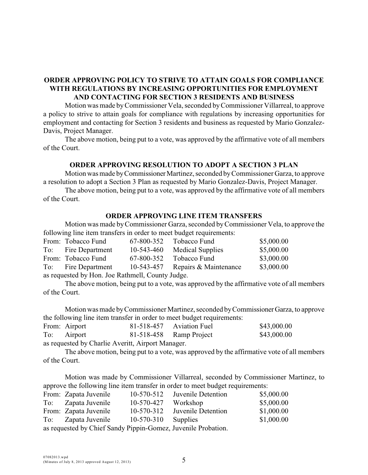# **ORDER APPROVING POLICY TO STRIVE TO ATTAIN GOALS FOR COMPLIANCE WITH REGULATIONS BY INCREASING OPPORTUNITIES FOR EMPLOYMENT AND CONTACTING FOR SECTION 3 RESIDENTS AND BUSINESS**

Motion was made byCommissioner Vela, seconded byCommissioner Villarreal, to approve a policy to strive to attain goals for compliance with regulations by increasing opportunities for employment and contacting for Section 3 residents and business as requested by Mario Gonzalez-Davis, Project Manager.

The above motion, being put to a vote, was approved by the affirmative vote of all members of the Court.

#### **ORDER APPROVING RESOLUTION TO ADOPT A SECTION 3 PLAN**

Motion was made by Commissioner Martinez, seconded by Commissioner Garza, to approve a resolution to adopt a Section 3 Plan as requested by Mario Gonzalez-Davis, Project Manager.

The above motion, being put to a vote, was approved by the affirmative vote of all members of the Court.

#### **ORDER APPROVING LINE ITEM TRANSFERS**

Motion was made by Commissioner Garza, seconded by Commissioner Vela, to approve the following line item transfers in order to meet budget requirements:

|                                                  | From: Tobacco Fund  | 67-800-352   | Tobacco Fund                     | \$5,000.00 |
|--------------------------------------------------|---------------------|--------------|----------------------------------|------------|
|                                                  | To: Fire Department | $10-543-460$ | <b>Medical Supplies</b>          | \$5,000.00 |
|                                                  | From: Tobacco Fund  | 67-800-352   | Tobacco Fund                     | \$3,000.00 |
|                                                  | To: Fire Department |              | 10-543-457 Repairs & Maintenance | \$3,000.00 |
| as requested by Hon. Joe Rathmell, County Judge. |                     |              |                                  |            |

The above motion, being put to a vote, was approved by the affirmative vote of all members of the Court.

Motion was made by Commissioner Martinez, seconded by Commissioner Garza, to approve the following line item transfer in order to meet budget requirements:

|                                                   | From: Airport |  | 81-518-457 Aviation Fuel | \$43,000.00 |  |
|---------------------------------------------------|---------------|--|--------------------------|-------------|--|
|                                                   | To: Airport   |  | 81-518-458 Ramp Project  | \$43,000.00 |  |
| as requested by Charlie Averitt, Airport Manager. |               |  |                          |             |  |

The above motion, being put to a vote, was approved by the affirmative vote of all members of the Court.

Motion was made by Commissioner Villarreal, seconded by Commissioner Martinez, to approve the following line item transfer in order to meet budget requirements:

|                                                               | From: Zapata Juvenile | $10-570-512$ | Juvenile Detention | \$5,000.00 |
|---------------------------------------------------------------|-----------------------|--------------|--------------------|------------|
| To:                                                           | Zapata Juvenile       | 10-570-427   | Workshop           | \$5,000.00 |
|                                                               | From: Zapata Juvenile | 10-570-312   | Juvenile Detention | \$1,000.00 |
| To:                                                           | Zapata Juvenile       | $10-570-310$ | Supplies           | \$1,000.00 |
| as requested by Chief Sandy Pippin-Gomez, Juvenile Probation. |                       |              |                    |            |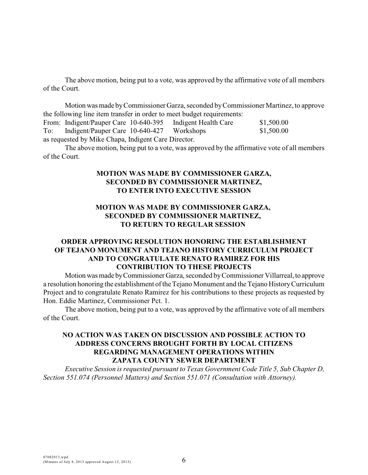The above motion, being put to a vote, was approved by the affirmative vote of all members of the Court.

Motion was made by Commissioner Garza, seconded by Commissioner Martinez, to approve the following line item transfer in order to meet budget requirements:

From: Indigent/Pauper Care 10-640-395 Indigent Health Care \$1,500.00 To: Indigent/Pauper Care 10-640-427 Workshops \$1,500.00 as requested by Mike Chapa, Indigent Care Director.

The above motion, being put to a vote, was approved by the affirmative vote of all members of the Court.

### **MOTION WAS MADE BY COMMISSIONER GARZA, SECONDED BY COMMISSIONER MARTINEZ, TO ENTER INTO EXECUTIVE SESSION**

# **MOTION WAS MADE BY COMMISSIONER GARZA, SECONDED BY COMMISSIONER MARTINEZ, TO RETURN TO REGULAR SESSION**

# **ORDER APPROVING RESOLUTION HONORING THE ESTABLISHMENT OF TEJANO MONUMENT AND TEJANO HISTORY CURRICULUM PROJECT AND TO CONGRATULATE RENATO RAMIREZ FOR HIS CONTRIBUTION TO THESE PROJECTS**

Motion was made by Commissioner Garza, seconded by Commissioner Villarreal, to approve a resolution honoring the establishment of the Tejano Monument and the Tejano History Curriculum Project and to congratulate Renato Ramirez for his contributions to these projects as requested by Hon. Eddie Martinez, Commissioner Pct. 1.

The above motion, being put to a vote, was approved by the affirmative vote of all members of the Court.

# **NO ACTION WAS TAKEN ON DISCUSSION AND POSSIBLE ACTION TO ADDRESS CONCERNS BROUGHT FORTH BY LOCAL CITIZENS REGARDING MANAGEMENT OPERATIONS WITHIN ZAPATA COUNTY SEWER DEPARTMENT**

*Executive Session is requested pursuant to Texas Government Code Title 5, Sub Chapter D, Section 551.074 (Personnel Matters) and Section 551.071 (Consultation with Attorney).*